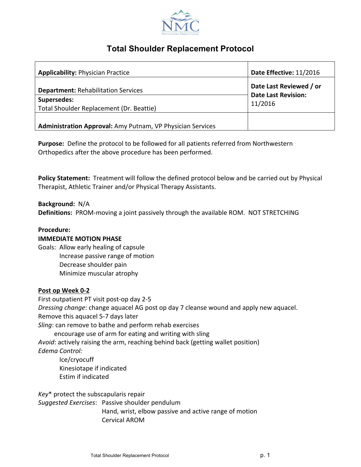

# **Total Shoulder Replacement Protocol**

| <b>Applicability: Physician Practice</b>                   | Date Effective: 11/2016                                          |
|------------------------------------------------------------|------------------------------------------------------------------|
| <b>Department: Rehabilitation Services</b>                 | Date Last Reviewed / or<br><b>Date Last Revision:</b><br>11/2016 |
| Supersedes:                                                |                                                                  |
| Total Shoulder Replacement (Dr. Beattie)                   |                                                                  |
| Administration Approval: Amy Putnam, VP Physician Services |                                                                  |

**Purpose:** Define the protocol to be followed for all patients referred from Northwestern Orthopedics after the above procedure has been performed.

**Policy Statement:** Treatment will follow the defined protocol below and be carried out by Physical Therapist, Athletic Trainer and/or Physical Therapy Assistants.

#### **Background:** N/A

**Definitions:** PROM-moving a joint passively through the available ROM. NOT STRETCHING

#### **Procedure:**

#### **IMMEDIATE MOTION PHASE**

Goals: Allow early healing of capsule Increase passive range of motion Decrease shoulder pain Minimize muscular atrophy

#### Post op Week 0-2

First outpatient PT visit post-op day 2-5 *Dressing change*: change aquacel AG post op day 7 cleanse wound and apply new aquacel. Remove this aquacel 5-7 days later Sling: can remove to bathe and perform rehab exercises encourage use of arm for eating and writing with sling *Avoid*: actively raising the arm, reaching behind back (getting wallet position) *Edema Control:*

Ice/cryocuff Kinesiotape if indicated Estim if indicated

Key<sup>\*</sup> protect the subscapularis repair

*Suggested Exercises*: Passive shoulder pendulum Hand, wrist, elbow passive and active range of motion Cervical AROM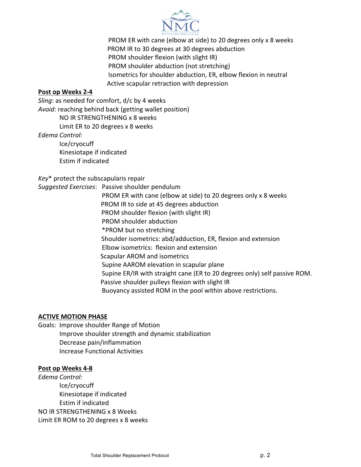

PROM ER with cane (elbow at side) to 20 degrees only x 8 weeks PROM IR to 30 degrees at 30 degrees abduction PROM shoulder flexion (with slight IR) PROM shoulder abduction (not stretching) Isometrics for shoulder abduction, ER, elbow flexion in neutral Active scapular retraction with depression

### **Post op Weeks 2-4**

*Sling*: as needed for comfort, d/c by 4 weeks Avoid: reaching behind back (getting wallet position) NO IR STRENGTHENING x 8 weeks Limit ER to 20 degrees  $x$  8 weeks *Edema Control:*

Ice/cryocuff

Kinesiotape if indicated Estim if indicated

Key<sup>\*</sup> protect the subscapularis repair

*Suggested Exercises*: Passive shoulder pendulum PROM ER with cane (elbow at side) to 20 degrees only x 8 weeks PROM IR to side at 45 degrees abduction PROM shoulder flexion (with slight IR) PROM shoulder abduction \*PROM but no stretching 

- Shoulder isometrics: abd/adduction, ER, flexion and extension
- Elbow isometrics: flexion and extension
- Scapular AROM and isometrics
- Supine AAROM elevation in scapular plane
- Supine ER/IR with straight cane (ER to 20 degrees only) self passive ROM.
- Passive shoulder pulleys flexion with slight IR
- Buoyancy assisted ROM in the pool within above restrictions.

#### **ACTIVE MOTION PHASE**

Goals: Improve shoulder Range of Motion Improve shoulder strength and dynamic stabilization Decrease pain/inflammation Increase Functional Activities

#### **Post op Weeks 4-8**

*Edema Control:* Ice/cryocuff Kinesiotape if indicated Estim if indicated NO IR STRENGTHENING x 8 Weeks Limit ER ROM to 20 degrees  $x$  8 weeks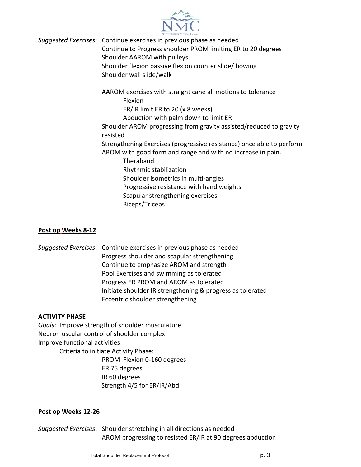

Suggested Exercises: Continue exercises in previous phase as needed

Continue to Progress shoulder PROM limiting ER to 20 degrees Shoulder AAROM with pulleys

Shoulder flexion passive flexion counter slide/ bowing Shoulder wall slide/walk

AAROM exercises with straight cane all motions to tolerance

Flexion 

ER/IR limit ER to 20 (x 8 weeks)

Abduction with palm down to limit ER

Shoulder AROM progressing from gravity assisted/reduced to gravity resisted 

Strengthening Exercises (progressive resistance) once able to perform AROM with good form and range and with no increase in pain.

Theraband 

Rhythmic stabilization 

Shoulder isometrics in multi-angles

Progressive resistance with hand weights

Scapular strengthening exercises

Biceps/Triceps

## **Post op Weeks 8-12**

*Suggested Exercises*: Continue exercises in previous phase as needed Progress shoulder and scapular strengthening Continue to emphasize AROM and strength Pool Exercises and swimming as tolerated Progress ER PROM and AROM as tolerated Initiate shoulder IR strengthening & progress as tolerated Eccentric shoulder strengthening

#### **ACTIVITY PHASE**

Goals: Improve strength of shoulder musculature Neuromuscular control of shoulder complex Improve functional activities Criteria to initiate Activity Phase:

PROM Flexion 0-160 degrees ER 75 degrees IR 60 degrees Strength 4/5 for ER/IR/Abd

## **Post op Weeks 12-26**

Suggested Exercises: Shoulder stretching in all directions as needed AROM progressing to resisted ER/IR at 90 degrees abduction